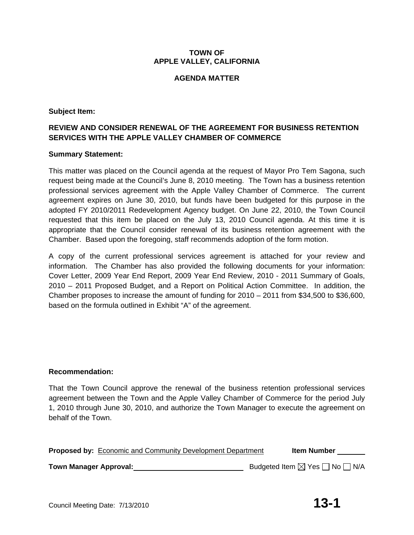# **TOWN OF APPLE VALLEY, CALIFORNIA**

# **AGENDA MATTER**

# **Subject Item:**

# **REVIEW AND CONSIDER RENEWAL OF THE AGREEMENT FOR BUSINESS RETENTION SERVICES WITH THE APPLE VALLEY CHAMBER OF COMMERCE**

# **Summary Statement:**

This matter was placed on the Council agenda at the request of Mayor Pro Tem Sagona, such request being made at the Council's June 8, 2010 meeting. The Town has a business retention professional services agreement with the Apple Valley Chamber of Commerce. The current agreement expires on June 30, 2010, but funds have been budgeted for this purpose in the adopted FY 2010/2011 Redevelopment Agency budget. On June 22, 2010, the Town Council requested that this item be placed on the July 13, 2010 Council agenda. At this time it is appropriate that the Council consider renewal of its business retention agreement with the Chamber. Based upon the foregoing, staff recommends adoption of the form motion.

A copy of the current professional services agreement is attached for your review and information. The Chamber has also provided the following documents for your information: Cover Letter, 2009 Year End Report, 2009 Year End Review, 2010 - 2011 Summary of Goals, 2010 – 2011 Proposed Budget, and a Report on Political Action Committee. In addition, the Chamber proposes to increase the amount of funding for 2010 – 2011 from \$34,500 to \$36,600, based on the formula outlined in Exhibit "A" of the agreement.

# **Recommendation:**

That the Town Council approve the renewal of the business retention professional services agreement between the Town and the Apple Valley Chamber of Commerce for the period July 1, 2010 through June 30, 2010, and authorize the Town Manager to execute the agreement on behalf of the Town.

|                               | <b>Proposed by: Economic and Community Development Department</b> | <b>Item Number</b>                                 |
|-------------------------------|-------------------------------------------------------------------|----------------------------------------------------|
| <b>Town Manager Approval:</b> |                                                                   | Budgeted Item $\boxtimes$ Yes $\Box$ No $\Box$ N/A |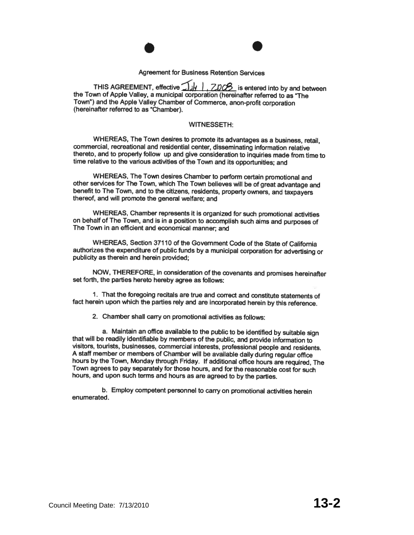

THIS AGREEMENT, effective  $\Box$ **J/y** |  $\Box$  ZDC $\beta$  is entered into by and between the Town of Apple Valley, a municipal corporation (hereinafter referred to as "The Town") and the Apple Valley Chamber of Commerce, anon-profit corporation (hereinafter referred to as "Chamber).

#### **WITNESSETH:**

WHEREAS, The Town desires to promote its advantages as a business, retail, commercial, recreational and residential center, disseminating information relative thereto, and to properly follow up and give consideration to inquiries made from time to time relative to the various activities of the Town and its opportunities; and

WHEREAS, The Town desires Chamber to perform certain promotional and other services for The Town, which The Town believes will be of great advantage and benefit to The Town, and to the citizens, residents, property owners, and taxpayers thereof, and will promote the general welfare; and

WHEREAS, Chamber represents it is organized for such promotional activities on behalf of The Town, and is in a position to accomplish such aims and purposes of The Town in an efficient and economical manner: and

WHEREAS. Section 37110 of the Government Code of the State of California authorizes the expenditure of public funds by a municipal corporation for advertising or publicity as therein and herein provided;

NOW, THEREFORE, in consideration of the covenants and promises hereinafter set forth, the parties hereto hereby agree as follows:

1. That the foregoing recitals are true and correct and constitute statements of fact herein upon which the parties rely and are incorporated herein by this reference.

2. Chamber shall carry on promotional activities as follows:

a. Maintain an office available to the public to be identified by suitable sign that will be readily identifiable by members of the public, and provide information to visitors, tourists, businesses, commercial interests, professional people and residents. A staff member or members of Chamber will be available daily during regular office hours by the Town, Monday through Friday. If additional office hours are required. The Town agrees to pay separately for those hours, and for the reasonable cost for such hours, and upon such terms and hours as are agreed to by the parties.

b. Employ competent personnel to carry on promotional activities herein enumerated.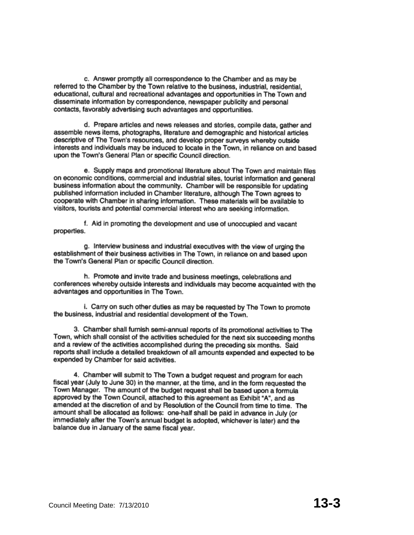c. Answer promptly all correspondence to the Chamber and as may be referred to the Chamber by the Town relative to the business, industrial, residential, educational, cultural and recreational advantages and opportunities in The Town and disseminate information by correspondence, newspaper publicity and personal contacts, favorably advertising such advantages and opportunities.

d. Prepare articles and news releases and stories, compile data, gather and assemble news items, photographs, literature and demographic and historical articles descriptive of The Town's resources, and develop proper surveys whereby outside interests and individuals may be induced to locate in the Town, in reliance on and based upon the Town's General Plan or specific Council direction.

e. Supply maps and promotional literature about The Town and maintain files on economic conditions, commercial and industrial sites, tourist information and general business information about the community. Chamber will be responsible for updating published information included in Chamber literature, although The Town agrees to cooperate with Chamber in sharing information. These materials will be available to visitors, tourists and potential commercial interest who are seeking information.

f. Aid in promoting the development and use of unoccupied and vacant properties.

g. Interview business and industrial executives with the view of urging the establishment of their business activities in The Town, in reliance on and based upon the Town's General Plan or specific Council direction.

h. Promote and invite trade and business meetings, celebrations and conferences whereby outside interests and individuals may become acquainted with the advantages and opportunities in The Town.

i. Carry on such other duties as may be requested by The Town to promote the business, industrial and residential development of the Town.

3. Chamber shall furnish semi-annual reports of its promotional activities to The Town, which shall consist of the activities scheduled for the next six succeeding months and a review of the activities accomplished during the preceding six months. Said reports shall include a detailed breakdown of all amounts expended and expected to be expended by Chamber for said activities.

4. Chamber will submit to The Town a budget request and program for each fiscal year (July to June 30) in the manner, at the time, and in the form requested the Town Manager. The amount of the budget request shall be based upon a formula approved by the Town Council, attached to this agreement as Exhibit "A", and as amended at the discretion of and by Resolution of the Council from time to time. The amount shall be allocated as follows: one-half shall be paid in advance in July (or immediately after the Town's annual budget is adopted, whichever is later) and the balance due in January of the same fiscal year.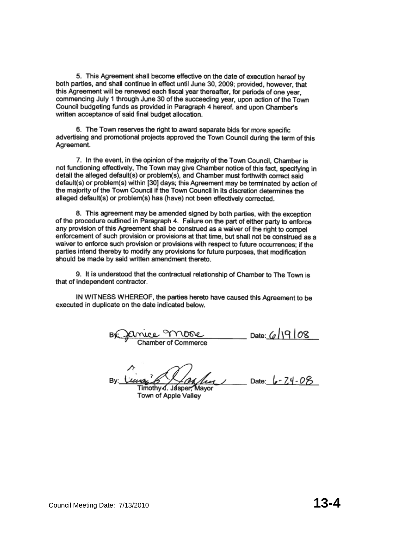5. This Agreement shall become effective on the date of execution hereof by both parties, and shall continue in effect until June 30, 2009; provided, however, that this Agreement will be renewed each fiscal year thereafter, for periods of one year. commencing July 1 through June 30 of the succeeding year, upon action of the Town Council budgeting funds as provided in Paragraph 4 hereof, and upon Chamber's written acceptance of said final budget allocation.

6. The Town reserves the right to award separate bids for more specific advertising and promotional projects approved the Town Council during the term of this Agreement.

7. In the event, in the opinion of the majority of the Town Council, Chamber is not functioning effectively. The Town may give Chamber notice of this fact, specifying in detail the alleged default(s) or problem(s), and Chamber must forthwith correct said default(s) or problem(s) within [30] days; this Agreement may be terminated by action of the majority of the Town Council if the Town Council in its discretion determines the alleged default(s) or problem(s) has (have) not been effectively corrected.

8. This agreement may be amended signed by both parties, with the exception of the procedure outlined in Paragraph 4. Failure on the part of either party to enforce any provision of this Agreement shall be construed as a waiver of the right to compel enforcement of such provision or provisions at that time, but shall not be construed as a waiver to enforce such provision or provisions with respect to future occurrences: if the parties intend thereby to modify any provisions for future purposes, that modification should be made by said written amendment thereto.

9. It is understood that the contractual relationship of Chamber to The Town is that of independent contractor.

IN WITNESS WHEREOF, the parties hereto have caused this Agreement to be executed in duplicate on the date indicated below.

muce MODOC<br>Chamber of Commerce Date: 6/19/08

Date:  $6 - 74 - 08$ Timothy J. Jasper, Mayor

Town of Apple Valley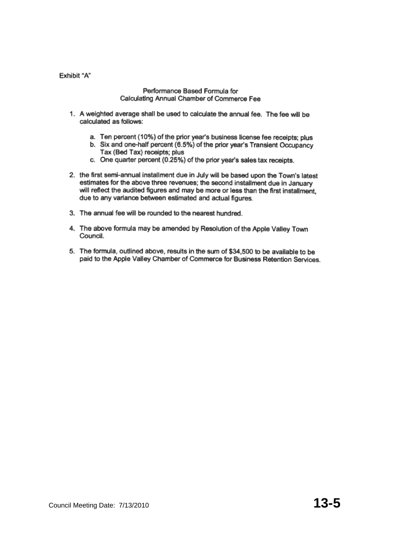Exhibit "A"

#### Performance Based Formula for Calculating Annual Chamber of Commerce Fee

- 1. A weighted average shall be used to calculate the annual fee. The fee will be calculated as follows:
	- a. Ten percent (10%) of the prior year's business license fee receipts; plus
	- b. Six and one-half percent (6.5%) of the prior year's Transient Occupancy Tax (Bed Tax) receipts; plus
	- c. One quarter percent (0.25%) of the prior year's sales tax receipts.
- 2. the first semi-annual installment due in July will be based upon the Town's latest estimates for the above three revenues; the second installment due in January will reflect the audited figures and may be more or less than the first installment, due to any variance between estimated and actual figures.
- 3. The annual fee will be rounded to the nearest hundred.
- 4. The above formula may be amended by Resolution of the Apple Valley Town Council.
- 5. The formula, outlined above, results in the sum of \$34,500 to be available to be paid to the Apple Valley Chamber of Commerce for Business Retention Services.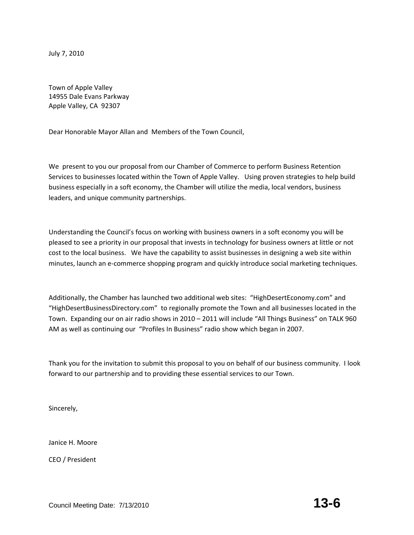July 7, 2010

Town of Apple Valley 14955 Dale Evans Parkway Apple Valley, CA 92307

Dear Honorable Mayor Allan and Members of the Town Council,

We present to you our proposal from our Chamber of Commerce to perform Business Retention Services to businesses located within the Town of Apple Valley. Using proven strategies to help build business especially in a soft economy, the Chamber will utilize the media, local vendors, business leaders, and unique community partnerships.

Understanding the Council's focus on working with business owners in a soft economy you will be pleased to see a priority in our proposal that invests in technology for business owners at little or not cost to the local business. We have the capability to assist businesses in designing a web site within minutes, launch an e-commerce shopping program and quickly introduce social marketing techniques.

Additionally, the Chamber has launched two additional web sites: "HighDesertEconomy.com" and "HighDesertBusinessDirectory.com" to regionally promote the Town and all businesses located in the Town. Expanding our on air radio shows in 2010 – 2011 will include "All Things Business" on TALK 960 AM as well as continuing our "Profiles In Business" radio show which began in 2007.

Thank you for the invitation to submit this proposal to you on behalf of our business community. I look forward to our partnership and to providing these essential services to our Town.

Sincerely,

Janice H. Moore

CEO / President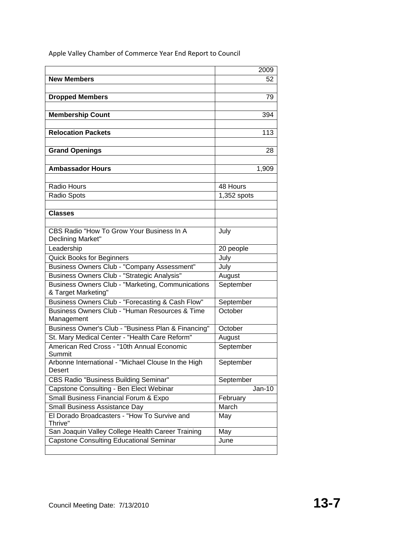|                                                                          | 2009        |
|--------------------------------------------------------------------------|-------------|
| <b>New Members</b>                                                       | 52          |
|                                                                          |             |
| <b>Dropped Members</b>                                                   | 79          |
|                                                                          |             |
| <b>Membership Count</b>                                                  | 394         |
|                                                                          |             |
| <b>Relocation Packets</b>                                                | 113         |
|                                                                          |             |
| <b>Grand Openings</b>                                                    | 28          |
|                                                                          |             |
| <b>Ambassador Hours</b>                                                  | 1,909       |
|                                                                          |             |
| Radio Hours                                                              | 48 Hours    |
| <b>Radio Spots</b>                                                       | 1,352 spots |
|                                                                          |             |
| <b>Classes</b>                                                           |             |
|                                                                          |             |
| CBS Radio "How To Grow Your Business In A                                | July        |
| Declining Market"                                                        |             |
| Leadership                                                               | 20 people   |
| <b>Quick Books for Beginners</b>                                         | July        |
| Business Owners Club - "Company Assessment"                              | July        |
| Business Owners Club - "Strategic Analysis"                              | August      |
| Business Owners Club - "Marketing, Communications<br>& Target Marketing" | September   |
| Business Owners Club - "Forecasting & Cash Flow"                         | September   |
| Business Owners Club - "Human Resources & Time                           | October     |
| Management                                                               |             |
| Business Owner's Club - "Business Plan & Financing"                      | October     |
| St. Mary Medical Center - "Health Care Reform"                           | August      |
| American Red Cross - "10th Annual Economic                               | September   |
| Summit                                                                   |             |
| Arbonne International - "Michael Clouse In the High                      | September   |
| Desert                                                                   |             |
| <b>CBS Radio "Business Building Seminar"</b>                             | September   |
| Capstone Consulting - Ben Elect Webinar                                  | $Jan-10$    |
| Small Business Financial Forum & Expo                                    | February    |
| Small Business Assistance Day                                            | March       |
| El Dorado Broadcasters - "How To Survive and<br>Thrive"                  | May         |
| San Joaquin Valley College Health Career Training                        | May         |
| <b>Capstone Consulting Educational Seminar</b>                           | June        |
|                                                                          |             |

Apple Valley Chamber of Commerce Year End Report to Council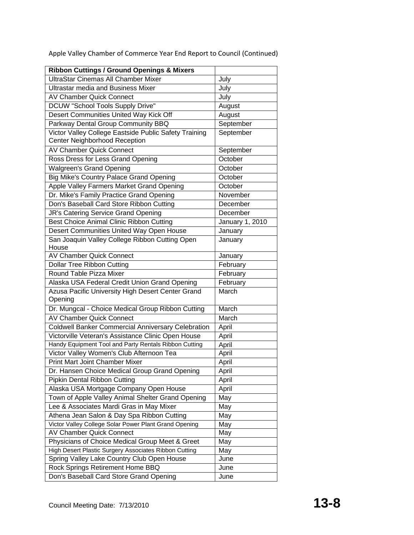| <b>Ribbon Cuttings / Ground Openings &amp; Mixers</b>     |                 |
|-----------------------------------------------------------|-----------------|
| UltraStar Cinemas All Chamber Mixer                       | July            |
| <b>Ultrastar media and Business Mixer</b>                 | July            |
| <b>AV Chamber Quick Connect</b>                           | July            |
| DCUW "School Tools Supply Drive"                          | August          |
| Desert Communities United Way Kick Off                    | August          |
| Parkway Dental Group Community BBQ                        | September       |
| Victor Valley College Eastside Public Safety Training     | September       |
| Center Neighborhood Reception                             |                 |
| <b>AV Chamber Quick Connect</b>                           | September       |
| Ross Dress for Less Grand Opening                         | October         |
| <b>Walgreen's Grand Opening</b>                           | October         |
| <b>Big Mike's Country Palace Grand Opening</b>            | October         |
| Apple Valley Farmers Market Grand Opening                 | October         |
| Dr. Mike's Family Practice Grand Opening                  | November        |
| Don's Baseball Card Store Ribbon Cutting                  | December        |
| JR's Catering Service Grand Opening                       | December        |
| Best Choice Animal Clinic Ribbon Cutting                  | January 1, 2010 |
| Desert Communities United Way Open House                  | January         |
| San Joaquin Valley College Ribbon Cutting Open            | January         |
| House                                                     |                 |
| <b>AV Chamber Quick Connect</b>                           | January         |
| <b>Dollar Tree Ribbon Cutting</b>                         | February        |
| Round Table Pizza Mixer                                   | February        |
| Alaska USA Federal Credit Union Grand Opening             | February        |
| Azusa Pacific University High Desert Center Grand         | March           |
| Opening                                                   |                 |
| Dr. Mungcal - Choice Medical Group Ribbon Cutting         | March           |
| <b>AV Chamber Quick Connect</b>                           | March           |
| <b>Coldwell Banker Commercial Anniversary Celebration</b> | April           |
| Victorville Veteran's Assistance Clinic Open House        | April           |
| Handy Equipment Tool and Party Rentals Ribbon Cutting     | April           |
| Victor Valley Women's Club Afternoon Tea                  | April           |
| <b>Print Mart Joint Chamber Mixer</b>                     | April           |
| Dr. Hansen Choice Medical Group Grand Opening             | April           |
| <b>Pipkin Dental Ribbon Cutting</b>                       | April           |
| Alaska USA Mortgage Company Open House                    | April           |
| Town of Apple Valley Animal Shelter Grand Opening         | May             |
| Lee & Associates Mardi Gras in May Mixer                  | May             |
| Athena Jean Salon & Day Spa Ribbon Cutting                | May             |
| Victor Valley College Solar Power Plant Grand Opening     | May             |
| <b>AV Chamber Quick Connect</b>                           | May             |
| Physicians of Choice Medical Group Meet & Greet           | May             |
| High Desert Plastic Surgery Associates Ribbon Cutting     | May             |
| Spring Valley Lake Country Club Open House                | June            |
| Rock Springs Retirement Home BBQ                          | June            |
| Don's Baseball Card Store Grand Opening                   | June            |

Apple Valley Chamber of Commerce Year End Report to Council (Continued)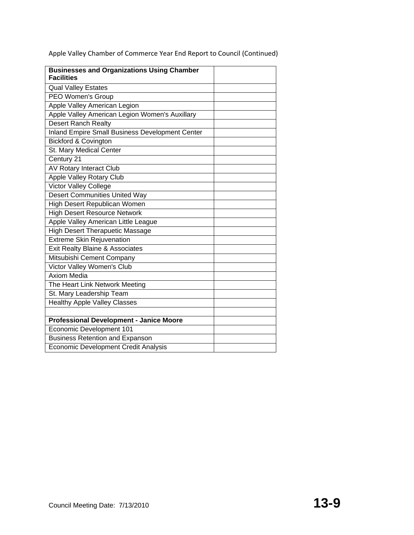| <b>Businesses and Organizations Using Chamber</b><br><b>Facilities</b> |  |
|------------------------------------------------------------------------|--|
| <b>Qual Valley Estates</b>                                             |  |
| PEO Women's Group                                                      |  |
| Apple Valley American Legion                                           |  |
| Apple Valley American Legion Women's Auxillary                         |  |
| <b>Desert Ranch Realty</b>                                             |  |
| <b>Inland Empire Small Business Development Center</b>                 |  |
| <b>Bickford &amp; Covington</b>                                        |  |
| St. Mary Medical Center                                                |  |
| Century 21                                                             |  |
| <b>AV Rotary Interact Club</b>                                         |  |
| <b>Apple Valley Rotary Club</b>                                        |  |
| <b>Victor Valley College</b>                                           |  |
| <b>Desert Communities United Way</b>                                   |  |
| High Desert Republican Women                                           |  |
| <b>High Desert Resource Network</b>                                    |  |
| Apple Valley American Little League                                    |  |
| <b>High Desert Therapuetic Massage</b>                                 |  |
| <b>Extreme Skin Rejuvenation</b>                                       |  |
| <b>Exit Realty Blaine &amp; Associates</b>                             |  |
| Mitsubishi Cement Company                                              |  |
| Victor Valley Women's Club                                             |  |
| <b>Axiom Media</b>                                                     |  |
| The Heart Link Network Meeting                                         |  |
| St. Mary Leadership Team                                               |  |
| <b>Healthy Apple Valley Classes</b>                                    |  |
|                                                                        |  |
| <b>Professional Development - Janice Moore</b>                         |  |
| Economic Development 101                                               |  |
| <b>Business Retention and Expanson</b>                                 |  |
| <b>Economic Development Credit Analysis</b>                            |  |

Apple Valley Chamber of Commerce Year End Report to Council (Continued)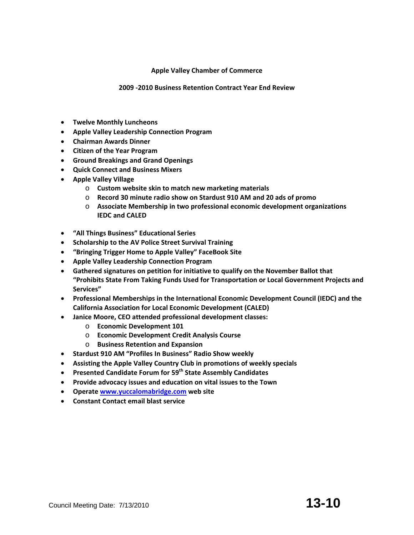# **Apple Valley Chamber of Commerce**

### **2009 ‐2010 Business Retention Contract Year End Review**

- **Twelve Monthly Luncheons**
- **Apple Valley Leadership Connection Program**
- **Chairman Awards Dinner**
- **Citizen of the Year Program**
- **Ground Breakings and Grand Openings**
- **Quick Connect and Business Mixers**
- **Apple Valley Village** 
	- o **Custom website skin to match new marketing materials**
	- o **Record 30 minute radio show on Stardust 910 AM and 20 ads of promo**
	- o **Associate Membership in two professional economic development organizations IEDC and CALED**
- **"All Things Business" Educational Series**
- **Scholarship to the AV Police Street Survival Training**
- **"Bringing Trigger Home to Apple Valley" FaceBook Site**
- **Apple Valley Leadership Connection Program**
- **Gathered signatures on petition for initiative to qualify on the November Ballot that "Prohibits State From Taking Funds Used for Transportation or Local Government Projects and Services"**
- **Professional Memberships in the International Economic Development Council (IEDC) and the California Association for Local Economic Development (CALED)**
- **Janice Moore, CEO attended professional development classes:**
	- o **Economic Development 101**
	- o **Economic Development Credit Analysis Course**
	- o **Business Retention and Expansion**
- **Stardust 910 AM "Profiles In Business" Radio Show weekly**
- **Assisting the Apple Valley Country Club in promotions of weekly specials**
- **Presented Candidate Forum for 59th State Assembly Candidates**
- **Provide advocacy issues and education on vital issues to the Town**
- **Operate www.yuccalomabridge.com web site**
- **Constant Contact email blast service**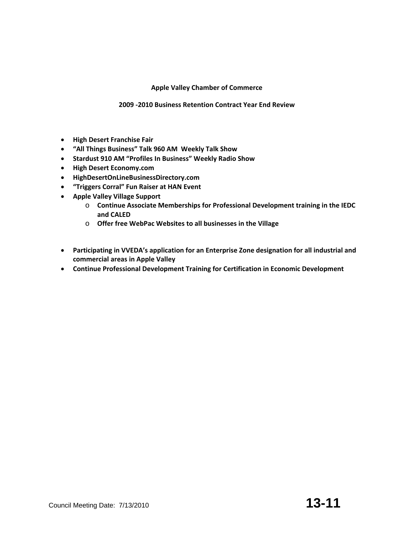# **Apple Valley Chamber of Commerce**

# **2009 ‐2010 Business Retention Contract Year End Review**

- **High Desert Franchise Fair**
- **"All Things Business" Talk 960 AM Weekly Talk Show**
- **Stardust 910 AM "Profiles In Business" Weekly Radio Show**
- **High Desert Economy.com**
- **HighDesertOnLineBusinessDirectory.com**
- **"Triggers Corral" Fun Raiser at HAN Event**
- **Apple Valley Village Support**
	- o **Continue Associate Memberships for Professional Development training in the IEDC and CALED**
	- o **Offer free WebPac Websites to all businesses in the Village**
- **Participating in VVEDA's application for an Enterprise Zone designation for all industrial and commercial areas in Apple Valley**
- **Continue Professional Development Training for Certification in Economic Development**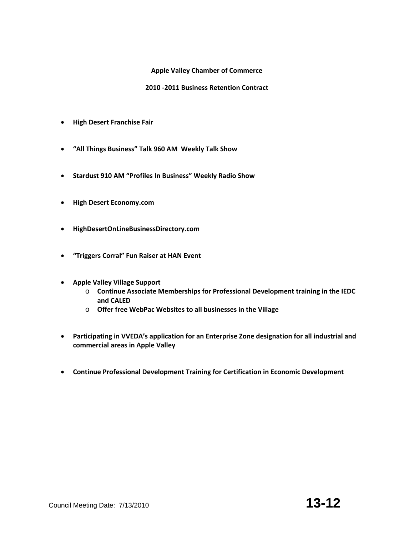# **Apple Valley Chamber of Commerce**

# **2010 ‐2011 Business Retention Contract**

- **High Desert Franchise Fair**
- **"All Things Business" Talk 960 AM Weekly Talk Show**
- **Stardust 910 AM "Profiles In Business" Weekly Radio Show**
- **High Desert Economy.com**
- **HighDesertOnLineBusinessDirectory.com**
- **"Triggers Corral" Fun Raiser at HAN Event**
- **Apple Valley Village Support**
	- o **Continue Associate Memberships for Professional Development training in the IEDC and CALED**
	- o **Offer free WebPac Websites to all businesses in the Village**
- **Participating in VVEDA's application for an Enterprise Zone designation for all industrial and commercial areas in Apple Valley**
- **Continue Professional Development Training for Certification in Economic Development**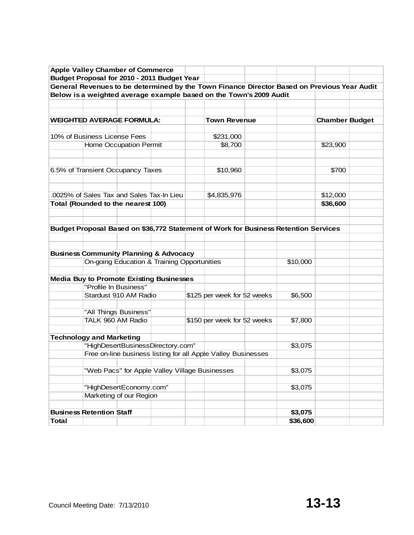|                                 |                       | <b>Apple Valley Chamber of Commerce</b>   |                                                                                                  |                                                                                             |          |                       |  |
|---------------------------------|-----------------------|-------------------------------------------|--------------------------------------------------------------------------------------------------|---------------------------------------------------------------------------------------------|----------|-----------------------|--|
|                                 |                       |                                           | Budget Proposal for 2010 - 2011 Budget Year                                                      |                                                                                             |          |                       |  |
|                                 |                       |                                           |                                                                                                  | General Revenues to be determined by the Town Finance Director Based on Previous Year Audit |          |                       |  |
|                                 |                       |                                           |                                                                                                  | Below is a weighted average example based on the Town's 2009 Audit                          |          |                       |  |
|                                 |                       |                                           |                                                                                                  |                                                                                             |          |                       |  |
|                                 |                       |                                           |                                                                                                  |                                                                                             |          |                       |  |
|                                 |                       | <b>WEIGHTED AVERAGE FORMULA:</b>          |                                                                                                  | <b>Town Revenue</b>                                                                         |          | <b>Chamber Budget</b> |  |
| 10% of Business License Fees    |                       |                                           |                                                                                                  |                                                                                             |          |                       |  |
|                                 |                       | Home Occupation Permit                    |                                                                                                  | \$231,000<br>\$8,700                                                                        |          | \$23,900              |  |
|                                 |                       |                                           |                                                                                                  |                                                                                             |          |                       |  |
|                                 |                       |                                           |                                                                                                  |                                                                                             |          |                       |  |
|                                 |                       | 6.5% of Transient Occupancy Taxes         |                                                                                                  | \$10,960                                                                                    |          | \$700                 |  |
|                                 |                       |                                           |                                                                                                  |                                                                                             |          |                       |  |
|                                 |                       |                                           |                                                                                                  |                                                                                             |          |                       |  |
|                                 |                       | .0025% of Sales Tax and Sales Tax-In Lieu |                                                                                                  | \$4,835,976                                                                                 |          | \$12,000              |  |
|                                 |                       | Total (Rounded to the nearest 100)        |                                                                                                  |                                                                                             |          | \$36,600              |  |
|                                 |                       |                                           |                                                                                                  |                                                                                             |          |                       |  |
|                                 |                       |                                           |                                                                                                  |                                                                                             |          |                       |  |
|                                 |                       |                                           |                                                                                                  | Budget Proposal Based on \$36,772 Statement of Work for Business Retention Services         |          |                       |  |
|                                 |                       |                                           |                                                                                                  |                                                                                             |          |                       |  |
|                                 |                       |                                           |                                                                                                  |                                                                                             |          |                       |  |
|                                 |                       |                                           | <b>Business Community Planning &amp; Advocacy</b><br>On-going Education & Training Opportunities |                                                                                             | \$10,000 |                       |  |
|                                 |                       |                                           |                                                                                                  |                                                                                             |          |                       |  |
|                                 |                       |                                           | <b>Media Buy to Promote Existing Businesses</b>                                                  |                                                                                             |          |                       |  |
|                                 | "Profile In Business" |                                           |                                                                                                  |                                                                                             |          |                       |  |
|                                 |                       | Stardust 910 AM Radio                     |                                                                                                  | \$125 per week for 52 weeks                                                                 | \$6,500  |                       |  |
|                                 |                       |                                           |                                                                                                  |                                                                                             |          |                       |  |
|                                 |                       | "All Things Business"                     |                                                                                                  |                                                                                             |          |                       |  |
|                                 | TALK 960 AM Radio     |                                           |                                                                                                  | \$150 per week for 52 weeks                                                                 | \$7,800  |                       |  |
|                                 |                       |                                           |                                                                                                  |                                                                                             |          |                       |  |
| <b>Technology and Marketing</b> |                       |                                           |                                                                                                  |                                                                                             |          |                       |  |
|                                 |                       |                                           | "HighDesertBusinessDirectory.com"                                                                |                                                                                             | \$3,075  |                       |  |
|                                 |                       |                                           |                                                                                                  | Free on-line business listing for all Apple Valley Businesses                               |          |                       |  |
|                                 |                       |                                           | "Web Pacs" for Apple Valley Village Businesses                                                   |                                                                                             | \$3,075  |                       |  |
|                                 |                       |                                           |                                                                                                  |                                                                                             |          |                       |  |
|                                 |                       | "HighDesertEconomy.com"                   |                                                                                                  |                                                                                             | \$3,075  |                       |  |
|                                 |                       | Marketing of our Region                   |                                                                                                  |                                                                                             |          |                       |  |
|                                 |                       |                                           |                                                                                                  |                                                                                             |          |                       |  |
| <b>Business Retention Staff</b> |                       |                                           |                                                                                                  |                                                                                             | \$3,075  |                       |  |
| <b>Total</b>                    |                       |                                           |                                                                                                  |                                                                                             | \$36,600 |                       |  |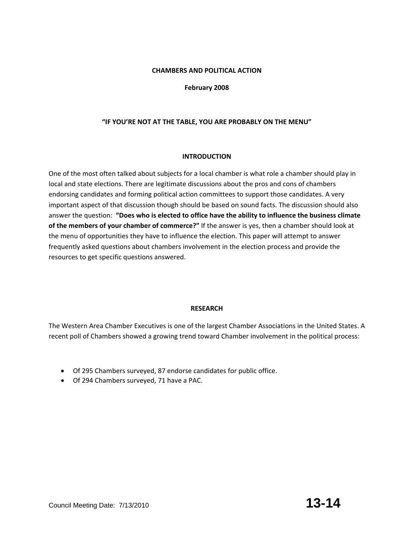# **CHAMBERS AND POLITICAL ACTION**

# **February 2008**

# **"IF YOU'RE NOT AT THE TABLE, YOU ARE PROBABLY ON THE MENU"**

#### **INTRODUCTION**

One of the most often talked about subjects for a local chamber is what role a chamber should play in local and state elections. There are legitimate discussions about the pros and cons of chambers endorsing candidates and forming political action committees to support those candidates. A very important aspect of that discussion though should be based on sound facts. The discussion should also answer the question: **"Does who is elected to office have the ability to influence the business climate of the members of your chamber of commerce?"** If the answer is yes, then a chamber should look at the menu of opportunities they have to influence the election. This paper will attempt to answer frequently asked questions about chambers involvement in the election process and provide the resources to get specific questions answered.

#### **RESEARCH**

The Western Area Chamber Executives is one of the largest Chamber Associations in the United States. A recent poll of Chambers showed a growing trend toward Chamber involvement in the political process:

- Of 295 Chambers surveyed, 87 endorse candidates for public office.
- Of 294 Chambers surveyed, 71 have a PAC.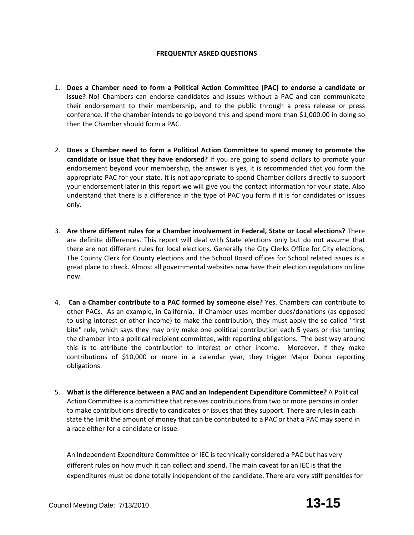# **FREQUENTLY ASKED QUESTIONS**

- 1. **Does a Chamber need to form a Political Action Committee (PAC) to endorse a candidate or issue?** No! Chambers can endorse candidates and issues without a PAC and can communicate their endorsement to their membership, and to the public through a press release or press conference. If the chamber intends to go beyond this and spend more than \$1,000.00 in doing so then the Chamber should form a PAC.
- 2. **Does a Chamber need to form a Political Action Committee to spend money to promote the candidate or issue that they have endorsed?** If you are going to spend dollars to promote your endorsement beyond your membership, the answer is yes, it is recommended that you form the appropriate PAC for your state. It is not appropriate to spend Chamber dollars directly to support your endorsement later in this report we will give you the contact information for your state. Also understand that there is a difference in the type of PAC you form if it is for candidates or issues only.
- 3. **Are there different rules for a Chamber involvement in Federal, State or Local elections?** There are definite differences. This report will deal with State elections only but do not assume that there are not different rules for local elections. Generally the City Clerks Office for City elections, The County Clerk for County elections and the School Board offices for School related issues is a great place to check. Almost all governmental websites now have their election regulations on line now.
- 4. **Can a Chamber contribute to a PAC formed by someone else?** Yes. Chambers can contribute to other PACs. As an example, in California, if Chamber uses member dues/donations (as opposed to using interest or other income) to make the contribution, they must apply the so‐called "first bite" rule, which says they may only make one political contribution each 5 years or risk turning the chamber into a political recipient committee, with reporting obligations. The best way around this is to attribute the contribution to interest or other income. Moreover, if they make contributions of \$10,000 or more in a calendar year, they trigger Major Donor reporting obligations.
- 5. **What is the difference between a PAC and an Independent Expenditure Committee?** A Political Action Committee is a committee that receives contributions from two or more persons in order to make contributions directly to candidates or issues that they support. There are rules in each state the limit the amount of money that can be contributed to a PAC or that a PAC may spend in a race either for a candidate or issue.

An Independent Expenditure Committee or IEC is technically considered a PAC but has very different rules on how much it can collect and spend. The main caveat for an IEC is that the expenditures must be done totally independent of the candidate. There are very stiff penalties for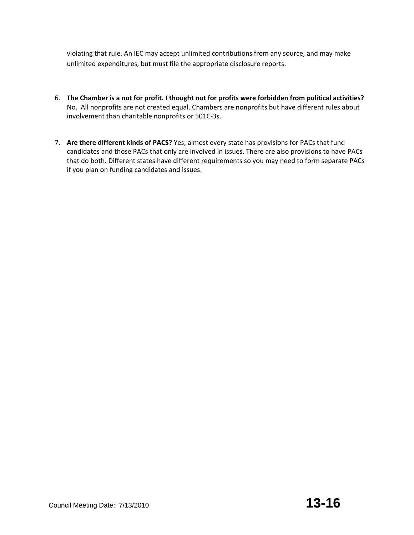violating that rule. An IEC may accept unlimited contributions from any source, and may make unlimited expenditures, but must file the appropriate disclosure reports.

- 6. **The Chamber is a not for profit. I thought not for profits were forbidden from political activities?** No. All nonprofits are not created equal. Chambers are nonprofits but have different rules about involvement than charitable nonprofits or 501C‐3s.
- 7. **Are there different kinds of PACS?** Yes, almost every state has provisions for PACs that fund candidates and those PACs that only are involved in issues. There are also provisions to have PACs that do both. Different states have different requirements so you may need to form separate PACs if you plan on funding candidates and issues.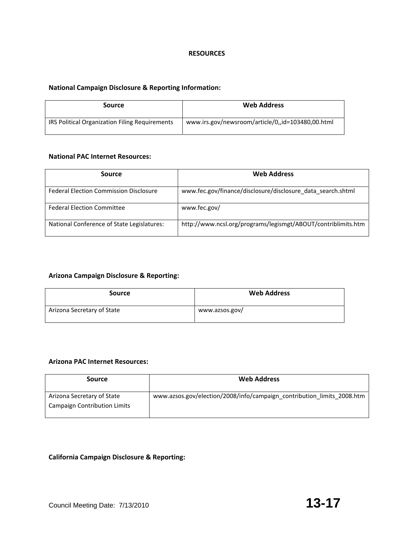#### **RESOURCES**

### **National Campaign Disclosure & Reporting Information:**

| Source                                         | <b>Web Address</b>                                |
|------------------------------------------------|---------------------------------------------------|
| IRS Political Organization Filing Requirements | www.irs.gov/newsroom/article/0,,id=103480,00.html |

# **National PAC Internet Resources:**

| Source                                        | <b>Web Address</b>                                            |
|-----------------------------------------------|---------------------------------------------------------------|
| <b>Federal Election Commission Disclosure</b> | www.fec.gov/finance/disclosure/disclosure_data_search.shtml   |
| <b>Federal Election Committee</b>             | www.fec.gov/                                                  |
| National Conference of State Legislatures:    | http://www.ncsl.org/programs/legismgt/ABOUT/contriblimits.htm |

# **Arizona Campaign Disclosure & Reporting:**

| Source                     | <b>Web Address</b> |
|----------------------------|--------------------|
| Arizona Secretary of State | www.azsos.gov/     |

# **Arizona PAC Internet Resources:**

| <b>Source</b>                                                     | <b>Web Address</b>                                                     |
|-------------------------------------------------------------------|------------------------------------------------------------------------|
| Arizona Secretary of State<br><b>Campaign Contribution Limits</b> | www.azsos.gov/election/2008/info/campaign_contribution_limits_2008.htm |

# **California Campaign Disclosure & Reporting:**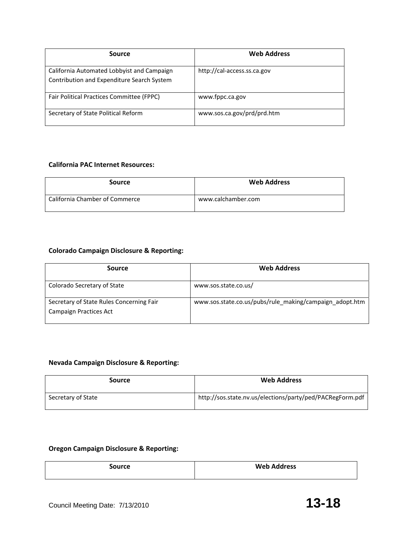| Source                                                                                   | <b>Web Address</b>          |
|------------------------------------------------------------------------------------------|-----------------------------|
| California Automated Lobbyist and Campaign<br>Contribution and Expenditure Search System | http://cal-access.ss.ca.gov |
| <b>Fair Political Practices Committee (FPPC)</b>                                         | www.fppc.ca.gov             |
| Secretary of State Political Reform                                                      | www.sos.ca.gov/prd/prd.htm  |

# **California PAC Internet Resources:**

| Source                         | <b>Web Address</b> |
|--------------------------------|--------------------|
| California Chamber of Commerce | www.calchamber.com |

# **Colorado Campaign Disclosure & Reporting:**

| Source                                                                    | <b>Web Address</b>                                      |
|---------------------------------------------------------------------------|---------------------------------------------------------|
| Colorado Secretary of State                                               | www.sos.state.co.us/                                    |
| Secretary of State Rules Concerning Fair<br><b>Campaign Practices Act</b> | www.sos.state.co.us/pubs/rule making/campaign adopt.htm |

# **Nevada Campaign Disclosure & Reporting:**

| Source             | <b>Web Address</b>                                        |
|--------------------|-----------------------------------------------------------|
| Secretary of State | http://sos.state.nv.us/elections/party/ped/PACRegForm.pdf |

# **Oregon Campaign Disclosure & Reporting:**

| Source | <b>Web Address</b> |
|--------|--------------------|
|        |                    |